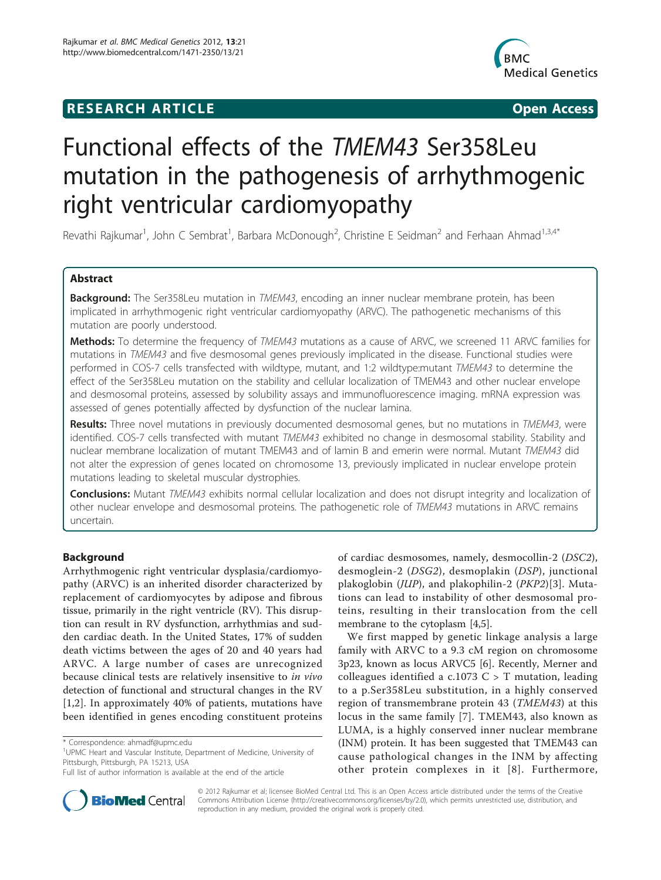## **RESEARCH ARTICLE Example 2018 CONSIDERING ACCESS**



# Functional effects of the TMEM43 Ser358Leu mutation in the pathogenesis of arrhythmogenic right ventricular cardiomyopathy

Revathi Rajkumar<sup>1</sup>, John C Sembrat<sup>1</sup>, Barbara McDonough<sup>2</sup>, Christine E Seidman<sup>2</sup> and Ferhaan Ahmad<sup>1,3,4\*</sup>

## Abstract

Background: The Ser358Leu mutation in TMEM43, encoding an inner nuclear membrane protein, has been implicated in arrhythmogenic right ventricular cardiomyopathy (ARVC). The pathogenetic mechanisms of this mutation are poorly understood.

Methods: To determine the frequency of TMEM43 mutations as a cause of ARVC, we screened 11 ARVC families for mutations in TMEM43 and five desmosomal genes previously implicated in the disease. Functional studies were performed in COS-7 cells transfected with wildtype, mutant, and 1:2 wildtype:mutant TMEM43 to determine the effect of the Ser358Leu mutation on the stability and cellular localization of TMEM43 and other nuclear envelope and desmosomal proteins, assessed by solubility assays and immunofluorescence imaging. mRNA expression was assessed of genes potentially affected by dysfunction of the nuclear lamina.

Results: Three novel mutations in previously documented desmosomal genes, but no mutations in TMEM43, were identified. COS-7 cells transfected with mutant TMEM43 exhibited no change in desmosomal stability. Stability and nuclear membrane localization of mutant TMEM43 and of lamin B and emerin were normal. Mutant TMEM43 did not alter the expression of genes located on chromosome 13, previously implicated in nuclear envelope protein mutations leading to skeletal muscular dystrophies.

**Conclusions:** Mutant TMEM43 exhibits normal cellular localization and does not disrupt integrity and localization of other nuclear envelope and desmosomal proteins. The pathogenetic role of TMEM43 mutations in ARVC remains uncertain.

## **Background**

Arrhythmogenic right ventricular dysplasia/cardiomyopathy (ARVC) is an inherited disorder characterized by replacement of cardiomyocytes by adipose and fibrous tissue, primarily in the right ventricle (RV). This disruption can result in RV dysfunction, arrhythmias and sudden cardiac death. In the United States, 17% of sudden death victims between the ages of 20 and 40 years had ARVC. A large number of cases are unrecognized because clinical tests are relatively insensitive to in vivo detection of functional and structural changes in the RV [[1,2](#page-7-0)]. In approximately 40% of patients, mutations have been identified in genes encoding constituent proteins



We first mapped by genetic linkage analysis a large family with ARVC to a 9.3 cM region on chromosome 3p23, known as locus ARVC5 [\[6](#page-7-0)]. Recently, Merner and colleagues identified a c.1073  $C > T$  mutation, leading to a p.Ser358Leu substitution, in a highly conserved region of transmembrane protein 43 (TMEM43) at this locus in the same family [[7\]](#page-7-0). TMEM43, also known as LUMA, is a highly conserved inner nuclear membrane (INM) protein. It has been suggested that TMEM43 can cause pathological changes in the INM by affecting other protein complexes in it [[8](#page-8-0)]. Furthermore,



© 2012 Rajkumar et al; licensee BioMed Central Ltd. This is an Open Access article distributed under the terms of the Creative Commons Attribution License [\(http://creativecommons.org/licenses/by/2.0](http://creativecommons.org/licenses/by/2.0)), which permits unrestricted use, distribution, and reproduction in any medium, provided the original work is properly cited.

<sup>\*</sup> Correspondence: [ahmadf@upmc.edu](mailto:ahmadf@upmc.edu)

<sup>&</sup>lt;sup>1</sup>UPMC Heart and Vascular Institute, Department of Medicine, University of Pittsburgh, Pittsburgh, PA 15213, USA

Full list of author information is available at the end of the article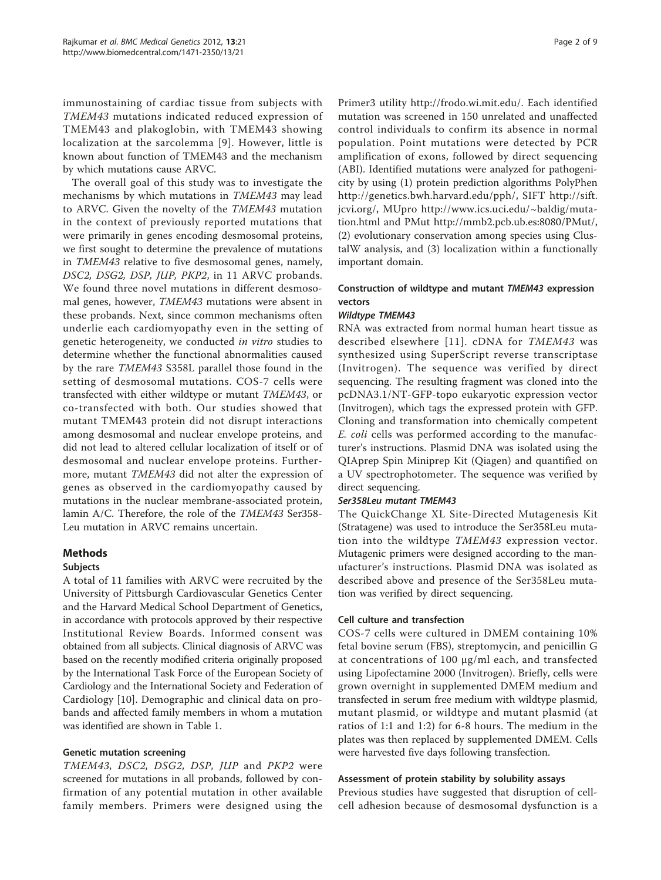immunostaining of cardiac tissue from subjects with TMEM43 mutations indicated reduced expression of TMEM43 and plakoglobin, with TMEM43 showing localization at the sarcolemma [[9](#page-8-0)]. However, little is known about function of TMEM43 and the mechanism by which mutations cause ARVC.

The overall goal of this study was to investigate the mechanisms by which mutations in TMEM43 may lead to ARVC. Given the novelty of the TMEM43 mutation in the context of previously reported mutations that were primarily in genes encoding desmosomal proteins, we first sought to determine the prevalence of mutations in TMEM43 relative to five desmosomal genes, namely, DSC2, DSG2, DSP, JUP, PKP2, in 11 ARVC probands. We found three novel mutations in different desmosomal genes, however, TMEM43 mutations were absent in these probands. Next, since common mechanisms often underlie each cardiomyopathy even in the setting of genetic heterogeneity, we conducted in vitro studies to determine whether the functional abnormalities caused by the rare TMEM43 S358L parallel those found in the setting of desmosomal mutations. COS-7 cells were transfected with either wildtype or mutant TMEM43, or co-transfected with both. Our studies showed that mutant TMEM43 protein did not disrupt interactions among desmosomal and nuclear envelope proteins, and did not lead to altered cellular localization of itself or of desmosomal and nuclear envelope proteins. Furthermore, mutant TMEM43 did not alter the expression of genes as observed in the cardiomyopathy caused by mutations in the nuclear membrane-associated protein, lamin A/C. Therefore, the role of the TMEM43 Ser358- Leu mutation in ARVC remains uncertain.

#### Methods

## Subjects

A total of 11 families with ARVC were recruited by the University of Pittsburgh Cardiovascular Genetics Center and the Harvard Medical School Department of Genetics, in accordance with protocols approved by their respective Institutional Review Boards. Informed consent was obtained from all subjects. Clinical diagnosis of ARVC was based on the recently modified criteria originally proposed by the International Task Force of the European Society of Cardiology and the International Society and Federation of Cardiology [[10\]](#page-8-0). Demographic and clinical data on probands and affected family members in whom a mutation was identified are shown in Table [1.](#page-2-0)

#### Genetic mutation screening

TMEM43, DSC2, DSG2, DSP, JUP and PKP2 were screened for mutations in all probands, followed by confirmation of any potential mutation in other available family members. Primers were designed using the

Primer3 utility [http://frodo.wi.mit.edu/.](http://frodo.wi.mit.edu/) Each identified mutation was screened in 150 unrelated and unaffected control individuals to confirm its absence in normal population. Point mutations were detected by PCR amplification of exons, followed by direct sequencing (ABI). Identified mutations were analyzed for pathogenicity by using (1) protein prediction algorithms PolyPhen [http://genetics.bwh.harvard.edu/pph/,](http://genetics.bwh.harvard.edu/pph/) SIFT [http://sift.](http://sift.jcvi.org/) [jcvi.org/](http://sift.jcvi.org/), MUpro [http://www.ics.uci.edu/~baldig/muta](http://www.ics.uci.edu/~baldig/mutation.html)[tion.html](http://www.ics.uci.edu/~baldig/mutation.html) and PMut<http://mmb2.pcb.ub.es:8080/PMut/>, (2) evolutionary conservation among species using ClustalW analysis, and (3) localization within a functionally important domain.

## Construction of wildtype and mutant TMEM43 expression vectors

#### Wildtype TMEM43

RNA was extracted from normal human heart tissue as described elsewhere [[11](#page-8-0)]. cDNA for TMEM43 was synthesized using SuperScript reverse transcriptase (Invitrogen). The sequence was verified by direct sequencing. The resulting fragment was cloned into the pcDNA3.1/NT-GFP-topo eukaryotic expression vector (Invitrogen), which tags the expressed protein with GFP. Cloning and transformation into chemically competent E. coli cells was performed according to the manufacturer's instructions. Plasmid DNA was isolated using the QIAprep Spin Miniprep Kit (Qiagen) and quantified on a UV spectrophotometer. The sequence was verified by direct sequencing.

#### Ser358Leu mutant TMEM43

The QuickChange XL Site-Directed Mutagenesis Kit (Stratagene) was used to introduce the Ser358Leu mutation into the wildtype TMEM43 expression vector. Mutagenic primers were designed according to the manufacturer's instructions. Plasmid DNA was isolated as described above and presence of the Ser358Leu mutation was verified by direct sequencing.

#### Cell culture and transfection

COS-7 cells were cultured in DMEM containing 10% fetal bovine serum (FBS), streptomycin, and penicillin G at concentrations of 100 μg/ml each, and transfected using Lipofectamine 2000 (Invitrogen). Briefly, cells were grown overnight in supplemented DMEM medium and transfected in serum free medium with wildtype plasmid, mutant plasmid, or wildtype and mutant plasmid (at ratios of 1:1 and 1:2) for 6-8 hours. The medium in the plates was then replaced by supplemented DMEM. Cells were harvested five days following transfection.

#### Assessment of protein stability by solubility assays

Previous studies have suggested that disruption of cellcell adhesion because of desmosomal dysfunction is a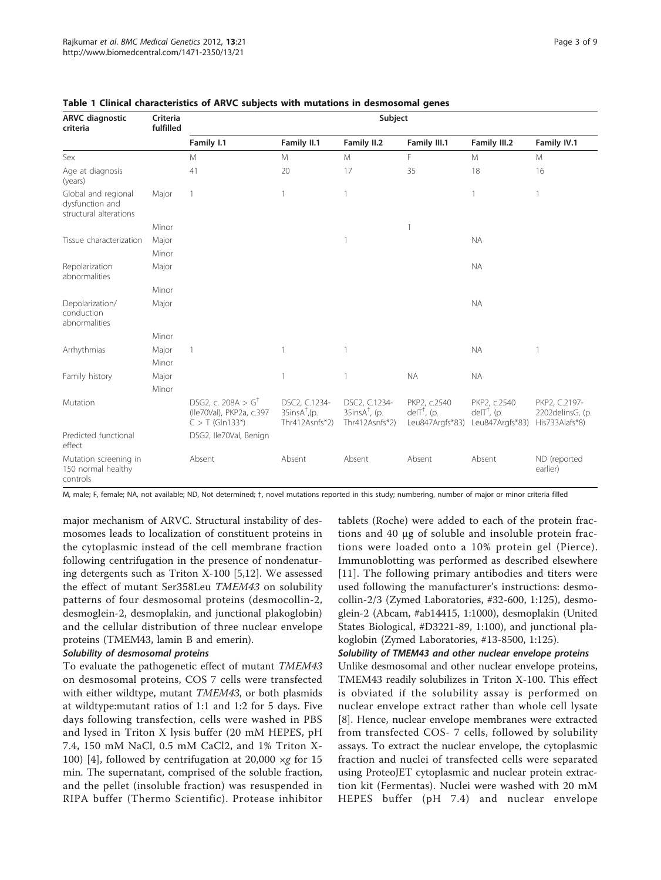| <b>ARVC</b> diagnostic<br>criteria                               | Criteria<br>fulfilled | Subject                                                                        |                                                                 |                                                                 |                                                  |                                                 |                                                     |
|------------------------------------------------------------------|-----------------------|--------------------------------------------------------------------------------|-----------------------------------------------------------------|-----------------------------------------------------------------|--------------------------------------------------|-------------------------------------------------|-----------------------------------------------------|
|                                                                  |                       | Family I.1                                                                     | Family II.1                                                     | Family II.2                                                     | Family III.1                                     | Family III.2                                    | Family IV.1                                         |
| Sex                                                              |                       | M                                                                              | M                                                               | M                                                               | F                                                | M                                               | M                                                   |
| Age at diagnosis<br>(years)                                      |                       | 41                                                                             | 20                                                              | 17                                                              | 35                                               | 18                                              | 16                                                  |
| Global and regional<br>dysfunction and<br>structural alterations | Major                 | 1                                                                              |                                                                 | 1                                                               |                                                  | 1                                               | 1                                                   |
|                                                                  | Minor                 |                                                                                |                                                                 |                                                                 | $\mathbf{1}$                                     |                                                 |                                                     |
| Tissue characterization                                          | Major                 |                                                                                |                                                                 | 1                                                               |                                                  | <b>NA</b>                                       |                                                     |
|                                                                  | Minor                 |                                                                                |                                                                 |                                                                 |                                                  |                                                 |                                                     |
| Repolarization<br>abnormalities                                  | Major                 |                                                                                |                                                                 |                                                                 |                                                  | <b>NA</b>                                       |                                                     |
|                                                                  | Minor                 |                                                                                |                                                                 |                                                                 |                                                  |                                                 |                                                     |
| Depolarization/<br>conduction<br>abnormalities                   | Major                 |                                                                                |                                                                 |                                                                 |                                                  | <b>NA</b>                                       |                                                     |
|                                                                  | Minor                 |                                                                                |                                                                 |                                                                 |                                                  |                                                 |                                                     |
| Arrhythmias                                                      | Major<br>Minor        | 1                                                                              |                                                                 | 1                                                               |                                                  | <b>NA</b>                                       | 1                                                   |
| Family history                                                   | Major                 |                                                                                |                                                                 | $\mathbf{1}$                                                    | <b>NA</b>                                        | <b>NA</b>                                       |                                                     |
|                                                                  | Minor                 |                                                                                |                                                                 |                                                                 |                                                  |                                                 |                                                     |
| Mutation                                                         |                       | DSG2, c. 208A > $G^{\dagger}$<br>(Ile70Val), PKP2a, c.397<br>$C > T$ (Gln133*) | DSC2, C.1234-<br>$35$ ins $A^{\dagger}$ , (p.<br>Thr412Asnfs*2) | DSC2, C.1234-<br>$35$ ins $A^{\dagger}$ , (p.<br>Thr412Asnfs*2) | PKP2, c.2540<br>$deIT†$ , (p.<br>Leu847Argfs*83) | PKP2, c.2540<br>$deIT$ , (p.<br>Leu847Argfs*83) | PKP2, C.2197-<br>2202delinsG, (p.<br>His733Alafs*8) |
| Predicted functional<br>effect                                   |                       | DSG2, Ile70Val, Benign                                                         |                                                                 |                                                                 |                                                  |                                                 |                                                     |
| Mutation screening in<br>150 normal healthy<br>controls          |                       | Absent                                                                         | Absent                                                          | Absent                                                          | Absent                                           | Absent                                          | ND (reported<br>earlier)                            |

#### <span id="page-2-0"></span>Table 1 Clinical characteristics of ARVC subjects with mutations in desmosomal genes

M, male; F, female; NA, not available; ND, Not determined; †, novel mutations reported in this study; numbering, number of major or minor criteria filled

major mechanism of ARVC. Structural instability of desmosomes leads to localization of constituent proteins in the cytoplasmic instead of the cell membrane fraction following centrifugation in the presence of nondenaturing detergents such as Triton X-100 [[5,](#page-7-0)[12\]](#page-8-0). We assessed the effect of mutant Ser358Leu TMEM43 on solubility patterns of four desmosomal proteins (desmocollin-2, desmoglein-2, desmoplakin, and junctional plakoglobin) and the cellular distribution of three nuclear envelope proteins (TMEM43, lamin B and emerin).

#### Solubility of desmosomal proteins

To evaluate the pathogenetic effect of mutant TMEM43 on desmosomal proteins, COS 7 cells were transfected with either wildtype, mutant TMEM43, or both plasmids at wildtype:mutant ratios of 1:1 and 1:2 for 5 days. Five days following transfection, cells were washed in PBS and lysed in Triton X lysis buffer (20 mM HEPES, pH 7.4, 150 mM NaCl, 0.5 mM CaCl2, and 1% Triton X-100) [[4\]](#page-7-0), followed by centrifugation at 20,000  $\times$ g for 15 min. The supernatant, comprised of the soluble fraction, and the pellet (insoluble fraction) was resuspended in RIPA buffer (Thermo Scientific). Protease inhibitor

tablets (Roche) were added to each of the protein fractions and 40 μg of soluble and insoluble protein fractions were loaded onto a 10% protein gel (Pierce). Immunoblotting was performed as described elsewhere [[11](#page-8-0)]. The following primary antibodies and titers were used following the manufacturer's instructions: desmocollin-2/3 (Zymed Laboratories, #32-600, 1:125), desmoglein-2 (Abcam, #ab14415, 1:1000), desmoplakin (United States Biological, #D3221-89, 1:100), and junctional plakoglobin (Zymed Laboratories, #13-8500, 1:125).

## Solubility of TMEM43 and other nuclear envelope proteins

Unlike desmosomal and other nuclear envelope proteins, TMEM43 readily solubilizes in Triton X-100. This effect is obviated if the solubility assay is performed on nuclear envelope extract rather than whole cell lysate [[8\]](#page-8-0). Hence, nuclear envelope membranes were extracted from transfected COS- 7 cells, followed by solubility assays. To extract the nuclear envelope, the cytoplasmic fraction and nuclei of transfected cells were separated using ProteoJET cytoplasmic and nuclear protein extraction kit (Fermentas). Nuclei were washed with 20 mM HEPES buffer (pH 7.4) and nuclear envelope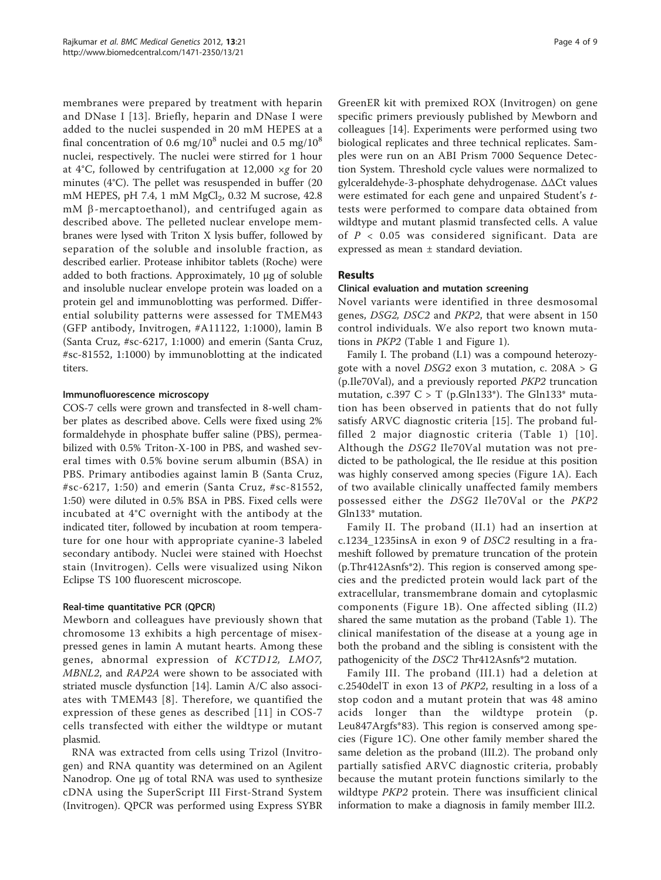membranes were prepared by treatment with heparin and DNase I [\[13\]](#page-8-0). Briefly, heparin and DNase I were added to the nuclei suspended in 20 mM HEPES at a final concentration of 0.6 mg/ $10^8$  nuclei and 0.5 mg/ $10^8$ nuclei, respectively. The nuclei were stirred for 1 hour at 4°C, followed by centrifugation at 12,000  $\times$ g for 20 minutes (4°C). The pellet was resuspended in buffer (20 mM HEPES, pH 7.4, 1 mM  $MgCl<sub>2</sub>$ , 0.32 M sucrose, 42.8 mM  $\beta$ -mercaptoethanol), and centrifuged again as described above. The pelleted nuclear envelope membranes were lysed with Triton X lysis buffer, followed by separation of the soluble and insoluble fraction, as described earlier. Protease inhibitor tablets (Roche) were added to both fractions. Approximately, 10 μg of soluble and insoluble nuclear envelope protein was loaded on a protein gel and immunoblotting was performed. Differential solubility patterns were assessed for TMEM43 (GFP antibody, Invitrogen, #A11122, 1:1000), lamin B (Santa Cruz, #sc-6217, 1:1000) and emerin (Santa Cruz, #sc-81552, 1:1000) by immunoblotting at the indicated titers.

#### Immunofluorescence microscopy

COS-7 cells were grown and transfected in 8-well chamber plates as described above. Cells were fixed using 2% formaldehyde in phosphate buffer saline (PBS), permeabilized with 0.5% Triton-X-100 in PBS, and washed several times with 0.5% bovine serum albumin (BSA) in PBS. Primary antibodies against lamin B (Santa Cruz, #sc-6217, 1:50) and emerin (Santa Cruz, #sc-81552, 1:50) were diluted in 0.5% BSA in PBS. Fixed cells were incubated at 4°C overnight with the antibody at the indicated titer, followed by incubation at room temperature for one hour with appropriate cyanine-3 labeled secondary antibody. Nuclei were stained with Hoechst stain (Invitrogen). Cells were visualized using Nikon Eclipse TS 100 fluorescent microscope.

#### Real-time quantitative PCR (QPCR)

Mewborn and colleagues have previously shown that chromosome 13 exhibits a high percentage of misexpressed genes in lamin A mutant hearts. Among these genes, abnormal expression of KCTD12, LMO7, MBNL2, and RAP2A were shown to be associated with striated muscle dysfunction [[14\]](#page-8-0). Lamin A/C also associates with TMEM43 [[8](#page-8-0)]. Therefore, we quantified the expression of these genes as described [[11\]](#page-8-0) in COS-7 cells transfected with either the wildtype or mutant plasmid.

RNA was extracted from cells using Trizol (Invitrogen) and RNA quantity was determined on an Agilent Nanodrop. One μg of total RNA was used to synthesize cDNA using the SuperScript III First-Strand System (Invitrogen). QPCR was performed using Express SYBR

GreenER kit with premixed ROX (Invitrogen) on gene specific primers previously published by Mewborn and colleagues [[14\]](#page-8-0). Experiments were performed using two biological replicates and three technical replicates. Samples were run on an ABI Prism 7000 Sequence Detection System. Threshold cycle values were normalized to gylceraldehyde-3-phosphate dehydrogenase. ΔΔCt values were estimated for each gene and unpaired Student'<sup>s</sup> ttests were performed to compare data obtained from wildtype and mutant plasmid transfected cells. A value of  $P < 0.05$  was considered significant. Data are expressed as mean ± standard deviation.

## Results

#### Clinical evaluation and mutation screening

Novel variants were identified in three desmosomal genes, DSG2, DSC2 and PKP2, that were absent in 150 control individuals. We also report two known mutations in PKP2 (Table [1](#page-2-0) and Figure [1](#page-4-0)).

Family I. The proband (I.1) was a compound heterozygote with a novel DSG2 exon 3 mutation, c. 208A > G (p.Ile70Val), and a previously reported PKP2 truncation mutation, c.397 C > T (p.Gln133<sup>\*</sup>). The Gln133<sup>\*</sup> mutation has been observed in patients that do not fully satisfy ARVC diagnostic criteria [[15\]](#page-8-0). The proband fulfilled 2 major diagnostic criteria (Table [1\)](#page-2-0) [[10\]](#page-8-0). Although the DSG2 Ile70Val mutation was not predicted to be pathological, the Ile residue at this position was highly conserved among species (Figure [1A](#page-4-0)). Each of two available clinically unaffected family members possessed either the DSG2 Ile70Val or the PKP2 Gln133\* mutation.

Family II. The proband (II.1) had an insertion at c.1234\_1235insA in exon 9 of DSC2 resulting in a frameshift followed by premature truncation of the protein (p.Thr412Asnfs\*2). This region is conserved among species and the predicted protein would lack part of the extracellular, transmembrane domain and cytoplasmic components (Figure [1B\)](#page-4-0). One affected sibling (II.2) shared the same mutation as the proband (Table [1\)](#page-2-0). The clinical manifestation of the disease at a young age in both the proband and the sibling is consistent with the pathogenicity of the DSC2 Thr412Asnfs\*2 mutation.

Family III. The proband (III.1) had a deletion at c.2540delT in exon 13 of PKP2, resulting in a loss of a stop codon and a mutant protein that was 48 amino acids longer than the wildtype protein (p. Leu847Argfs\*83). This region is conserved among species (Figure [1C\)](#page-4-0). One other family member shared the same deletion as the proband (III.2). The proband only partially satisfied ARVC diagnostic criteria, probably because the mutant protein functions similarly to the wildtype PKP2 protein. There was insufficient clinical information to make a diagnosis in family member III.2.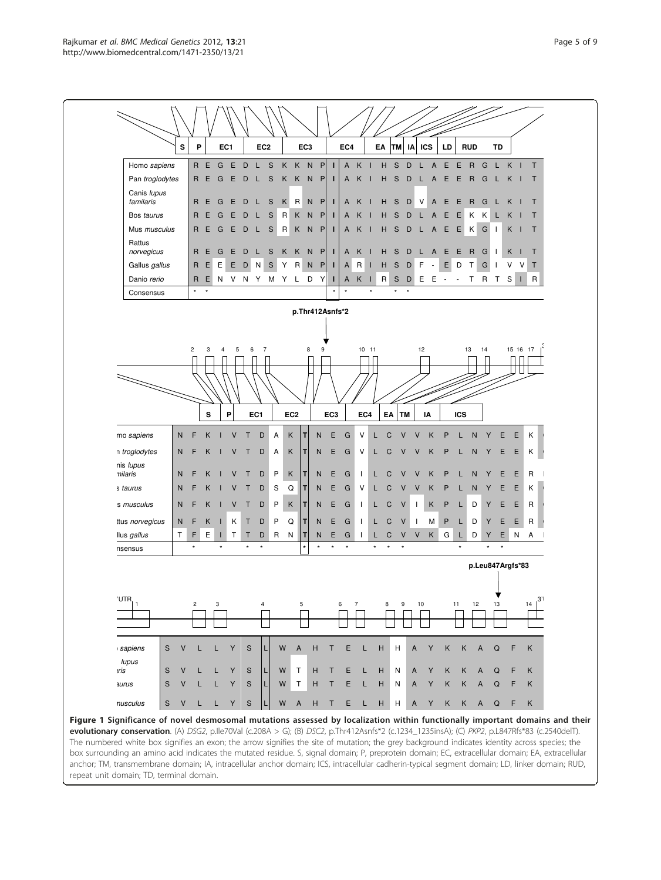<span id="page-4-0"></span>

Figure 1 Significance of novel desmosomal mutations assessed by localization within functionally important domains and their evolutionary conservation. (A) DSG2, p.lle70Val (c.208A > G); (B) DSC2, p.Thr412Asnfs\*2 (c.1234\_1235insA); (C) PKP2, p.L847Rfs\*83 (c.2540delT). The numbered white box signifies an exon; the arrow signifies the site of mutation; the grey background indicates identity across species; the box surrounding an amino acid indicates the mutated residue. S, signal domain; P, preprotein domain; EC, extracellular domain; EA, extracellular anchor; TM, transmembrane domain; IA, intracellular anchor domain; ICS, intracellular cadherin-typical segment domain; LD, linker domain; RUD, repeat unit domain; TD, terminal domain.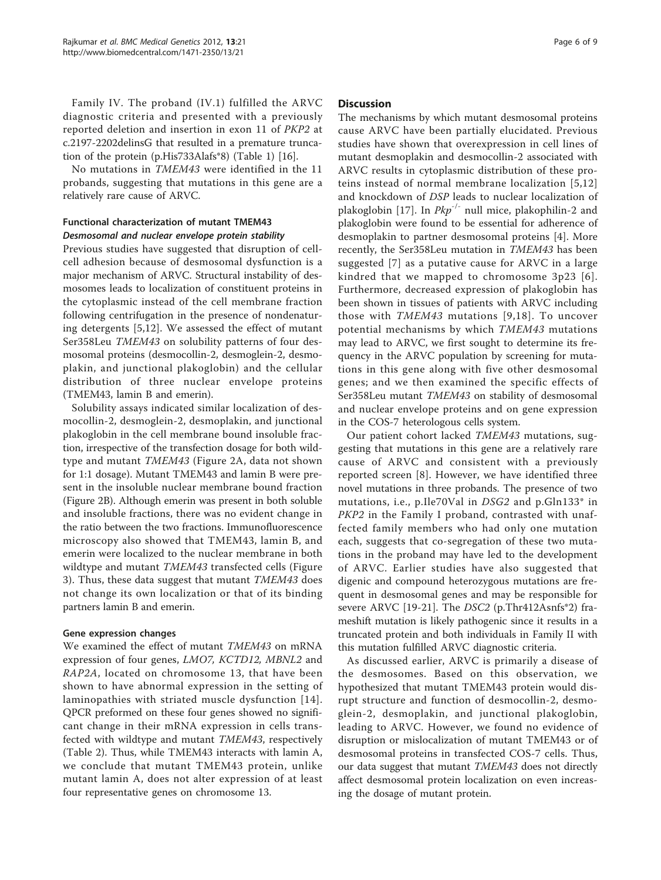Family IV. The proband (IV.1) fulfilled the ARVC diagnostic criteria and presented with a previously reported deletion and insertion in exon 11 of PKP2 at c.2197-2202delinsG that resulted in a premature truncation of the protein (p.His733Alafs\*8) (Table [1](#page-2-0)) [[16\]](#page-8-0).

No mutations in TMEM43 were identified in the 11 probands, suggesting that mutations in this gene are a relatively rare cause of ARVC.

## Functional characterization of mutant TMEM43 Desmosomal and nuclear envelope protein stability

Previous studies have suggested that disruption of cellcell adhesion because of desmosomal dysfunction is a major mechanism of ARVC. Structural instability of desmosomes leads to localization of constituent proteins in the cytoplasmic instead of the cell membrane fraction following centrifugation in the presence of nondenaturing detergents [\[5](#page-7-0),[12\]](#page-8-0). We assessed the effect of mutant Ser358Leu TMEM43 on solubility patterns of four desmosomal proteins (desmocollin-2, desmoglein-2, desmoplakin, and junctional plakoglobin) and the cellular distribution of three nuclear envelope proteins (TMEM43, lamin B and emerin).

Solubility assays indicated similar localization of desmocollin-2, desmoglein-2, desmoplakin, and junctional plakoglobin in the cell membrane bound insoluble fraction, irrespective of the transfection dosage for both wildtype and mutant TMEM43 (Figure [2A,](#page-6-0) data not shown for 1:1 dosage). Mutant TMEM43 and lamin B were present in the insoluble nuclear membrane bound fraction (Figure [2B\)](#page-6-0). Although emerin was present in both soluble and insoluble fractions, there was no evident change in the ratio between the two fractions. Immunofluorescence microscopy also showed that TMEM43, lamin B, and emerin were localized to the nuclear membrane in both wildtype and mutant TMEM43 transfected cells (Figure [3\)](#page-7-0). Thus, these data suggest that mutant TMEM43 does not change its own localization or that of its binding partners lamin B and emerin.

#### Gene expression changes

We examined the effect of mutant TMEM43 on mRNA expression of four genes, LMO7, KCTD12, MBNL2 and RAP2A, located on chromosome 13, that have been shown to have abnormal expression in the setting of laminopathies with striated muscle dysfunction [\[14\]](#page-8-0). QPCR preformed on these four genes showed no significant change in their mRNA expression in cells transfected with wildtype and mutant TMEM43, respectively (Table [2](#page-7-0)). Thus, while TMEM43 interacts with lamin A, we conclude that mutant TMEM43 protein, unlike mutant lamin A, does not alter expression of at least four representative genes on chromosome 13.

#### **Discussion**

The mechanisms by which mutant desmosomal proteins cause ARVC have been partially elucidated. Previous studies have shown that overexpression in cell lines of mutant desmoplakin and desmocollin-2 associated with ARVC results in cytoplasmic distribution of these proteins instead of normal membrane localization [\[5,](#page-7-0)[12](#page-8-0)] and knockdown of DSP leads to nuclear localization of plakoglobin [\[17](#page-8-0)]. In  $Pkp^{-/-}$  null mice, plakophilin-2 and plakoglobin were found to be essential for adherence of desmoplakin to partner desmosomal proteins [\[4](#page-7-0)]. More recently, the Ser358Leu mutation in TMEM43 has been suggested [[7](#page-7-0)] as a putative cause for ARVC in a large kindred that we mapped to chromosome 3p23 [[6\]](#page-7-0). Furthermore, decreased expression of plakoglobin has been shown in tissues of patients with ARVC including those with TMEM43 mutations [[9](#page-8-0),[18\]](#page-8-0). To uncover potential mechanisms by which TMEM43 mutations may lead to ARVC, we first sought to determine its frequency in the ARVC population by screening for mutations in this gene along with five other desmosomal genes; and we then examined the specific effects of Ser358Leu mutant TMEM43 on stability of desmosomal and nuclear envelope proteins and on gene expression in the COS-7 heterologous cells system.

Our patient cohort lacked TMEM43 mutations, suggesting that mutations in this gene are a relatively rare cause of ARVC and consistent with a previously reported screen [[8](#page-8-0)]. However, we have identified three novel mutations in three probands. The presence of two mutations, i.e., p.Ile70Val in DSG2 and p.Gln133\* in PKP2 in the Family I proband, contrasted with unaffected family members who had only one mutation each, suggests that co-segregation of these two mutations in the proband may have led to the development of ARVC. Earlier studies have also suggested that digenic and compound heterozygous mutations are frequent in desmosomal genes and may be responsible for severe ARVC [\[19](#page-8-0)-[21\]](#page-8-0). The DSC2 (p.Thr412Asnfs\*2) frameshift mutation is likely pathogenic since it results in a truncated protein and both individuals in Family II with this mutation fulfilled ARVC diagnostic criteria.

As discussed earlier, ARVC is primarily a disease of the desmosomes. Based on this observation, we hypothesized that mutant TMEM43 protein would disrupt structure and function of desmocollin-2, desmoglein-2, desmoplakin, and junctional plakoglobin, leading to ARVC. However, we found no evidence of disruption or mislocalization of mutant TMEM43 or of desmosomal proteins in transfected COS-7 cells. Thus, our data suggest that mutant TMEM43 does not directly affect desmosomal protein localization on even increasing the dosage of mutant protein.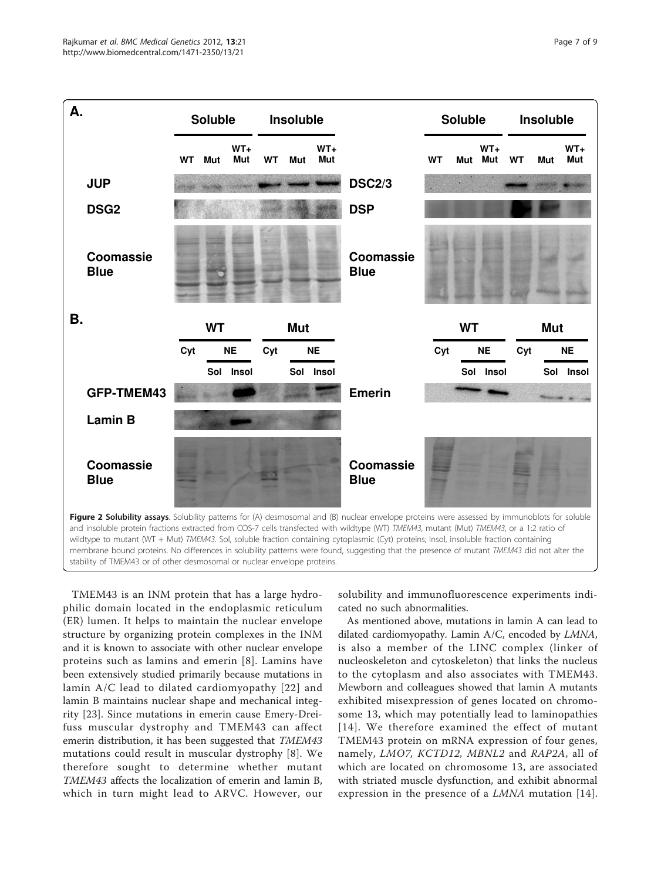<span id="page-6-0"></span>

TMEM43 is an INM protein that has a large hydrophilic domain located in the endoplasmic reticulum (ER) lumen. It helps to maintain the nuclear envelope structure by organizing protein complexes in the INM and it is known to associate with other nuclear envelope proteins such as lamins and emerin [[8](#page-8-0)]. Lamins have been extensively studied primarily because mutations in lamin A/C lead to dilated cardiomyopathy [[22](#page-8-0)] and lamin B maintains nuclear shape and mechanical integrity [[23\]](#page-8-0). Since mutations in emerin cause Emery-Dreifuss muscular dystrophy and TMEM43 can affect emerin distribution, it has been suggested that TMEM43 mutations could result in muscular dystrophy [[8\]](#page-8-0). We therefore sought to determine whether mutant TMEM43 affects the localization of emerin and lamin B, which in turn might lead to ARVC. However, our

solubility and immunofluorescence experiments indicated no such abnormalities.

As mentioned above, mutations in lamin A can lead to dilated cardiomyopathy. Lamin A/C, encoded by LMNA, is also a member of the LINC complex (linker of nucleoskeleton and cytoskeleton) that links the nucleus to the cytoplasm and also associates with TMEM43. Mewborn and colleagues showed that lamin A mutants exhibited misexpression of genes located on chromosome 13, which may potentially lead to laminopathies [[14](#page-8-0)]. We therefore examined the effect of mutant TMEM43 protein on mRNA expression of four genes, namely, LMO7, KCTD12, MBNL2 and RAP2A, all of which are located on chromosome 13, are associated with striated muscle dysfunction, and exhibit abnormal expression in the presence of a *LMNA* mutation [[14](#page-8-0)].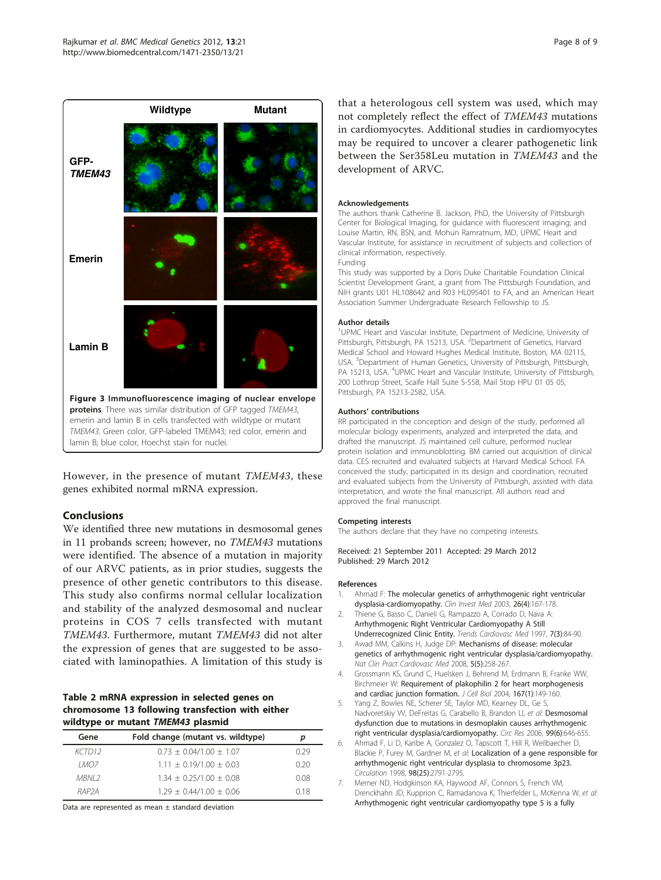<span id="page-7-0"></span>

However, in the presence of mutant TMEM43, these genes exhibited normal mRNA expression.

#### Conclusions

We identified three new mutations in desmosomal genes in 11 probands screen; however, no TMEM43 mutations were identified. The absence of a mutation in majority of our ARVC patients, as in prior studies, suggests the presence of other genetic contributors to this disease. This study also confirms normal cellular localization and stability of the analyzed desmosomal and nuclear proteins in COS 7 cells transfected with mutant TMEM43. Furthermore, mutant TMEM43 did not alter the expression of genes that are suggested to be associated with laminopathies. A limitation of this study is

#### Table 2 mRNA expression in selected genes on chromosome 13 following transfection with either wildtype or mutant TMEM43 plasmid

| Gene               | Fold change (mutant vs. wildtype) | р    |
|--------------------|-----------------------------------|------|
| KCTD12             | $0.73 \pm 0.04/1.00 \pm 1.07$     | በ 29 |
| I MOZ              | $1.11 + 0.19/1.00 + 0.03$         | 0.20 |
| MRNI 2             | $1.34 \pm 0.25/1.00 \pm 0.08$     | 0.08 |
| RAP <sub>2</sub> A | $1.29 \pm 0.44/1.00 \pm 0.06$     | 018  |

Data are represented as mean  $\pm$  standard deviation

that a heterologous cell system was used, which may not completely reflect the effect of TMEM43 mutations in cardiomyocytes. Additional studies in cardiomyocytes may be required to uncover a clearer pathogenetic link between the Ser358Leu mutation in TMEM43 and the development of ARVC.

#### Acknowledgements

The authors thank Catherine B. Jackson, PhD, the University of Pittsburgh Center for Biological Imaging, for guidance with fluorescent imaging; and Louise Martin, RN, BSN, and. Mohun Ramratnum, MD, UPMC Heart and Vascular Institute, for assistance in recruitment of subjects and collection of clinical information, respectively.

Funding

This study was supported by a Doris Duke Charitable Foundation Clinical Scientist Development Grant, a grant from The Pittsburgh Foundation, and NIH grants U01 HL108642 and R03 HL095401 to FA, and an American Heart Association Summer Undergraduate Research Fellowship to JS.

#### Author details

<sup>1</sup>UPMC Heart and Vascular Institute, Department of Medicine, University of Pittsburgh, Pittsburgh, PA 15213, USA. <sup>2</sup>Department of Genetics, Harvard Medical School and Howard Hughes Medical Institute, Boston, MA 02115, USA. <sup>3</sup>Department of Human Genetics, University of Pittsburgh, Pittsburgh, PA 15213, USA. <sup>4</sup>UPMC Heart and Vascular Institute, University of Pittsburgh 200 Lothrop Street, Scaife Hall Suite S-558, Mail Stop HPU 01 05 05, Pittsburgh, PA 15213-2582, USA.

#### Authors' contributions

RR participated in the conception and design of the study, performed all molecular biology experiments, analyzed and interpreted the data, and drafted the manuscript. JS maintained cell culture, performed nuclear protein isolation and immunoblotting. BM carried out acquisition of clinical data. CES recruited and evaluated subjects at Harvard Medical School. FA conceived the study, participated in its design and coordination, recruited and evaluated subjects from the University of Pittsburgh, assisted with data interpretation, and wrote the final manuscript. All authors read and approved the final manuscript.

#### Competing interests

The authors declare that they have no competing interests.

Received: 21 September 2011 Accepted: 29 March 2012 Published: 29 March 2012

#### References

- 1. Ahmad F: [The molecular genetics of arrhythmogenic right ventricular](http://www.ncbi.nlm.nih.gov/pubmed/12934820?dopt=Abstract) [dysplasia-cardiomyopathy.](http://www.ncbi.nlm.nih.gov/pubmed/12934820?dopt=Abstract) Clin Invest Med 2003, 26(4):167-178.
- 2. Thiene G, Basso C, Danieli G, Rampazzo A, Corrado D, Nava A: [Arrhythmogenic Right Ventricular Cardiomyopathy A Still](http://www.ncbi.nlm.nih.gov/pubmed/21235869?dopt=Abstract) [Underrecognized Clinic Entity.](http://www.ncbi.nlm.nih.gov/pubmed/21235869?dopt=Abstract) Trends Cardiovasc Med 1997, 7(3):84-90.
- Awad MM, Calkins H, Judge DP: [Mechanisms of disease: molecular](http://www.ncbi.nlm.nih.gov/pubmed/18382419?dopt=Abstract) [genetics of arrhythmogenic right ventricular dysplasia/cardiomyopathy.](http://www.ncbi.nlm.nih.gov/pubmed/18382419?dopt=Abstract) Nat Clin Pract Cardiovasc Med 2008, 5(5):258-267.
- 4. Grossmann KS, Grund C, Huelsken J, Behrend M, Erdmann B, Franke WW, Birchmeier W: [Requirement of plakophilin 2 for heart morphogenesis](http://www.ncbi.nlm.nih.gov/pubmed/15479741?dopt=Abstract) [and cardiac junction formation.](http://www.ncbi.nlm.nih.gov/pubmed/15479741?dopt=Abstract) J Cell Biol 2004, 167(1):149-160.
- Yang Z, Bowles NE, Scherer SE, Taylor MD, Kearney DL, Ge S, Nadvoretskiy VV, DeFreitas G, Carabello B, Brandon LI, et al: [Desmosomal](http://www.ncbi.nlm.nih.gov/pubmed/16917092?dopt=Abstract) [dysfunction due to mutations in desmoplakin causes arrhythmogenic](http://www.ncbi.nlm.nih.gov/pubmed/16917092?dopt=Abstract) [right ventricular dysplasia/cardiomyopathy.](http://www.ncbi.nlm.nih.gov/pubmed/16917092?dopt=Abstract) Circ Res 2006, 99(6):646-655.
- 6. Ahmad F, Li D, Karibe A, Gonzalez O, Tapscott T, Hill R, Weilbaecher D, Blackie P, Furey M, Gardner M, et al: [Localization of a gene responsible for](http://www.ncbi.nlm.nih.gov/pubmed/9860777?dopt=Abstract) [arrhythmogenic right ventricular dysplasia to chromosome 3p23.](http://www.ncbi.nlm.nih.gov/pubmed/9860777?dopt=Abstract) Circulation 1998, 98(25):2791-2795.
- 7. Merner ND, Hodgkinson KA, Haywood AF, Connors S, French VM, Drenckhahn JD, Kupprion C, Ramadanova K, Thierfelder L, McKenna W, et al: [Arrhythmogenic right ventricular cardiomyopathy type 5 is a fully](http://www.ncbi.nlm.nih.gov/pubmed/18313022?dopt=Abstract)